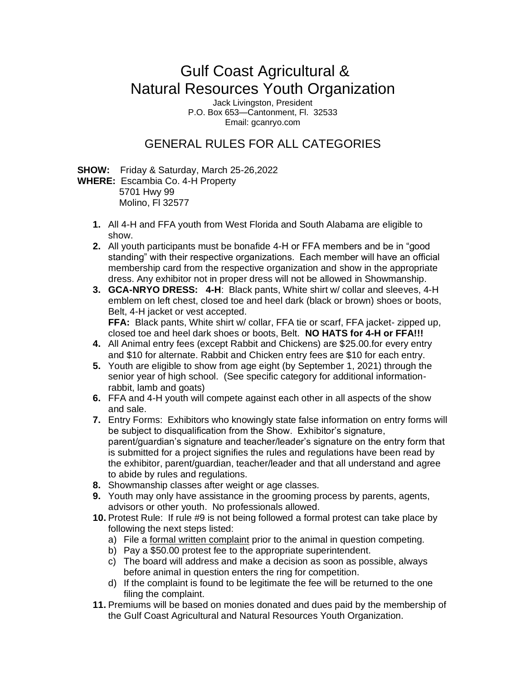## Gulf Coast Agricultural & Natural Resources Youth Organization

Jack Livingston, President P.O. Box 653—Cantonment, Fl. 32533 Email: gcanryo.com

## GENERAL RULES FOR ALL CATEGORIES

**SHOW:** Friday & Saturday, March 25-26,2022

**WHERE:** Escambia Co. 4-H Property 5701 Hwy 99 Molino, Fl 32577

- **1.** All 4-H and FFA youth from West Florida and South Alabama are eligible to show.
- **2.** All youth participants must be bonafide 4-H or FFA members and be in "good standing" with their respective organizations. Each member will have an official membership card from the respective organization and show in the appropriate dress. Any exhibitor not in proper dress will not be allowed in Showmanship.
- **3. GCA-NRYO DRESS: 4-H**: Black pants, White shirt w/ collar and sleeves, 4-H emblem on left chest, closed toe and heel dark (black or brown) shoes or boots, Belt, 4-H jacket or vest accepted. **FFA:** Black pants, White shirt w/ collar, FFA tie or scarf, FFA jacket- zipped up,

closed toe and heel dark shoes or boots, Belt. **NO HATS for 4-H or FFA!!!**

- **4.** All Animal entry fees (except Rabbit and Chickens) are \$25.00.for every entry and \$10 for alternate. Rabbit and Chicken entry fees are \$10 for each entry.
- **5.** Youth are eligible to show from age eight (by September 1, 2021) through the senior year of high school. (See specific category for additional informationrabbit, lamb and goats)
- **6.** FFA and 4-H youth will compete against each other in all aspects of the show and sale.
- **7.** Entry Forms: Exhibitors who knowingly state false information on entry forms will be subject to disqualification from the Show. Exhibitor's signature, parent/guardian's signature and teacher/leader's signature on the entry form that is submitted for a project signifies the rules and regulations have been read by the exhibitor, parent/guardian, teacher/leader and that all understand and agree to abide by rules and regulations.
- **8.** Showmanship classes after weight or age classes.
- **9.** Youth may only have assistance in the grooming process by parents, agents, advisors or other youth. No professionals allowed.
- **10.** Protest Rule: If rule #9 is not being followed a formal protest can take place by following the next steps listed:
	- a) File a formal written complaint prior to the animal in question competing.
	- b) Pay a \$50.00 protest fee to the appropriate superintendent.
	- c) The board will address and make a decision as soon as possible, always before animal in question enters the ring for competition.
	- d) If the complaint is found to be legitimate the fee will be returned to the one filing the complaint.
- **11.** Premiums will be based on monies donated and dues paid by the membership of the Gulf Coast Agricultural and Natural Resources Youth Organization.